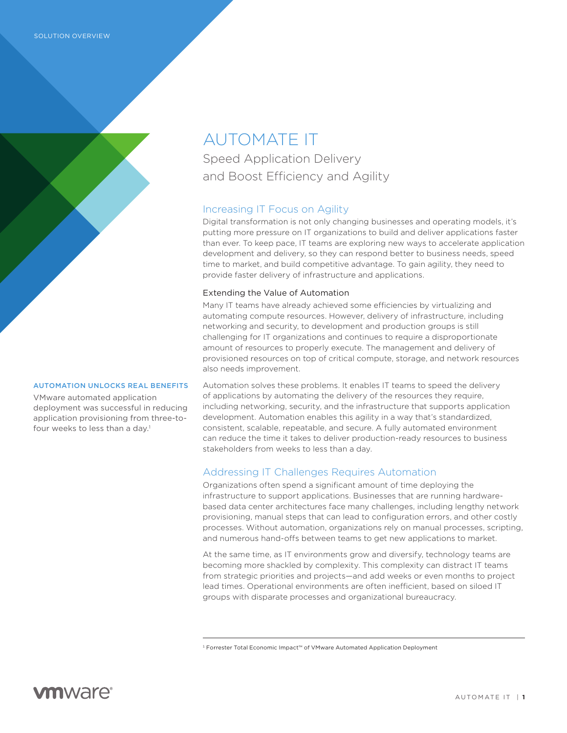

## AUTOMATION UNLOCKS REAL BENEFITS

VMware automated application deployment was successful in reducing application provisioning from three-tofour weeks to less than a day.<sup>1</sup>

AUTOMATE IT Speed Application Delivery and Boost Efficiency and Agility

# Increasing IT Focus on Agility

Digital transformation is not only changing businesses and operating models, it's putting more pressure on IT organizations to build and deliver applications faster than ever. To keep pace, IT teams are exploring new ways to accelerate application development and delivery, so they can respond better to business needs, speed time to market, and build competitive advantage. To gain agility, they need to provide faster delivery of infrastructure and applications.

## Extending the Value of Automation

Many IT teams have already achieved some efficiencies by virtualizing and automating compute resources. However, delivery of infrastructure, including networking and security, to development and production groups is still challenging for IT organizations and continues to require a disproportionate amount of resources to properly execute. The management and delivery of provisioned resources on top of critical compute, storage, and network resources also needs improvement.

Automation solves these problems. It enables IT teams to speed the delivery of applications by automating the delivery of the resources they require, including networking, security, and the infrastructure that supports application development. Automation enables this agility in a way that's standardized, consistent, scalable, repeatable, and secure. A fully automated environment can reduce the time it takes to deliver production-ready resources to business stakeholders from weeks to less than a day.

# Addressing IT Challenges Requires Automation

Organizations often spend a significant amount of time deploying the infrastructure to support applications. Businesses that are running hardwarebased data center architectures face many challenges, including lengthy network provisioning, manual steps that can lead to configuration errors, and other costly processes. Without automation, organizations rely on manual processes, scripting, and numerous hand-offs between teams to get new applications to market.

At the same time, as IT environments grow and diversify, technology teams are becoming more shackled by complexity. This complexity can distract IT teams from strategic priorities and projects—and add weeks or even months to project lead times. Operational environments are often inefficient, based on siloed IT groups with disparate processes and organizational bureaucracy.

<sup>1</sup> Forrester Total Economic Impact™ of VMware Automated Application Deployment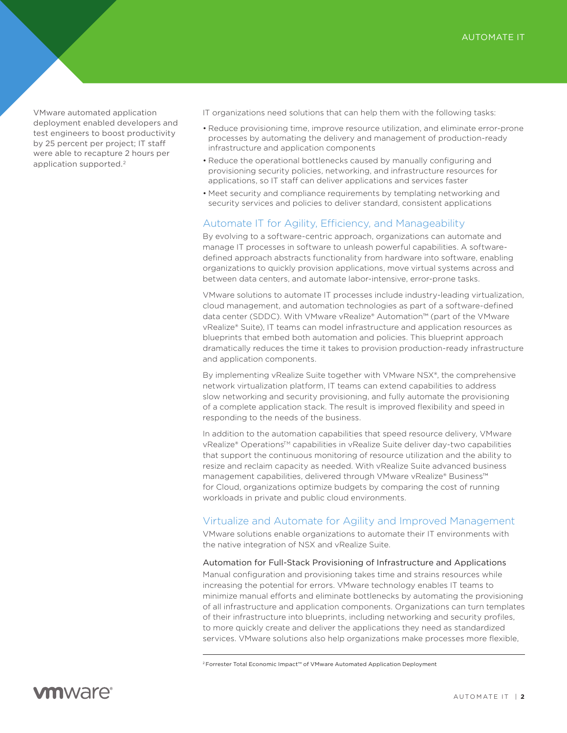VMware automated application deployment enabled developers and test engineers to boost productivity by 25 percent per project; IT staff were able to recapture 2 hours per application supported.<sup>2</sup>

IT organizations need solutions that can help them with the following tasks:

- Reduce provisioning time, improve resource utilization, and eliminate error-prone processes by automating the delivery and management of production-ready infrastructure and application components
- Reduce the operational bottlenecks caused by manually configuring and provisioning security policies, networking, and infrastructure resources for applications, so IT staff can deliver applications and services faster
- Meet security and compliance requirements by templating networking and security services and policies to deliver standard, consistent applications

# Automate IT for Agility, Efficiency, and Manageability

By evolving to a software-centric approach, organizations can automate and manage IT processes in software to unleash powerful capabilities. A softwaredefined approach abstracts functionality from hardware into software, enabling organizations to quickly provision applications, move virtual systems across and between data centers, and automate labor-intensive, error-prone tasks.

VMware solutions to automate IT processes include industry-leading virtualization, cloud management, and automation technologies as part of a software-defined data center (SDDC). With VMware vRealize® Automation™ (part of the VMware vRealize® Suite), IT teams can model infrastructure and application resources as blueprints that embed both automation and policies. This blueprint approach dramatically reduces the time it takes to provision production-ready infrastructure and application components.

By implementing vRealize Suite together with VMware NSX®, the comprehensive network virtualization platform, IT teams can extend capabilities to address slow networking and security provisioning, and fully automate the provisioning of a complete application stack. The result is improved flexibility and speed in responding to the needs of the business.

In addition to the automation capabilities that speed resource delivery, VMware vRealize® Operations™ capabilities in vRealize Suite deliver day-two capabilities that support the continuous monitoring of resource utilization and the ability to resize and reclaim capacity as needed. With vRealize Suite advanced business management capabilities, delivered through VMware vRealize® Business™ for Cloud, organizations optimize budgets by comparing the cost of running workloads in private and public cloud environments.

# Virtualize and Automate for Agility and Improved Management

VMware solutions enable organizations to automate their IT environments with the native integration of NSX and vRealize Suite.

## Automation for Full-Stack Provisioning of Infrastructure and Applications

Manual configuration and provisioning takes time and strains resources while increasing the potential for errors. VMware technology enables IT teams to minimize manual efforts and eliminate bottlenecks by automating the provisioning of all infrastructure and application components. Organizations can turn templates of their infrastructure into blueprints, including networking and security profiles, to more quickly create and deliver the applications they need as standardized services. VMware solutions also help organizations make processes more flexible,

<sup>2</sup> Forrester Total Economic Impact™ of VMware Automated Application Deployment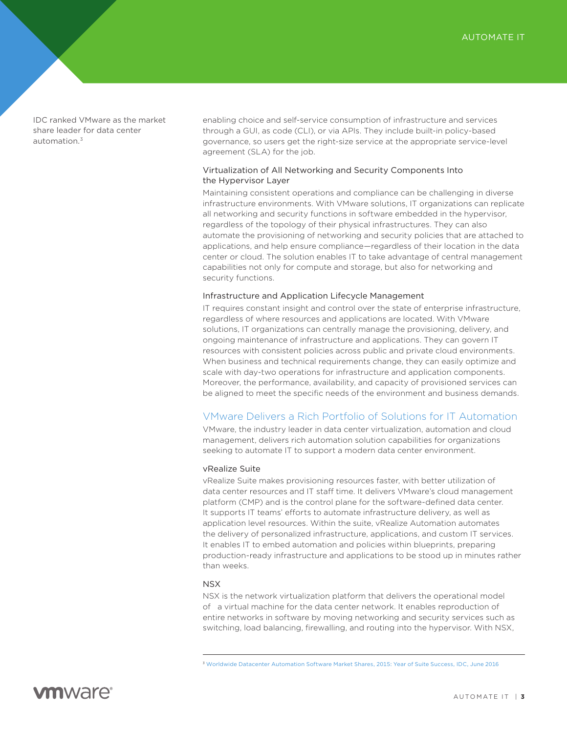IDC ranked VMware as the market share leader for data center automation $3$ 

enabling choice and self-service consumption of infrastructure and services through a GUI, as code (CLI), or via APIs. They include built-in policy-based governance, so users get the right-size service at the appropriate service-level agreement (SLA) for the job.

## Virtualization of All Networking and Security Components Into the Hypervisor Layer

Maintaining consistent operations and compliance can be challenging in diverse infrastructure environments. With VMware solutions, IT organizations can replicate all networking and security functions in software embedded in the hypervisor, regardless of the topology of their physical infrastructures. They can also automate the provisioning of networking and security policies that are attached to applications, and help ensure compliance—regardless of their location in the data center or cloud. The solution enables IT to take advantage of central management capabilities not only for compute and storage, but also for networking and security functions.

#### Infrastructure and Application Lifecycle Management

IT requires constant insight and control over the state of enterprise infrastructure, regardless of where resources and applications are located. With VMware solutions, IT organizations can centrally manage the provisioning, delivery, and ongoing maintenance of infrastructure and applications. They can govern IT resources with consistent policies across public and private cloud environments. When business and technical requirements change, they can easily optimize and scale with day-two operations for infrastructure and application components. Moreover, the performance, availability, and capacity of provisioned services can be aligned to meet the specific needs of the environment and business demands.

# VMware Delivers a Rich Portfolio of Solutions for IT Automation

VMware, the industry leader in data center virtualization, automation and cloud management, delivers rich automation solution capabilities for organizations seeking to automate IT to support a modern data center environment.

#### vRealize Suite

vRealize Suite makes provisioning resources faster, with better utilization of data center resources and IT staff time. It delivers VMware's cloud management platform (CMP) and is the control plane for the software-defined data center. It supports IT teams' efforts to automate infrastructure delivery, as well as application level resources. Within the suite, vRealize Automation automates the delivery of personalized infrastructure, applications, and custom IT services. It enables IT to embed automation and policies within blueprints, preparing production-ready infrastructure and applications to be stood up in minutes rather than weeks.

#### NSX

NSX is the network virtualization platform that delivers the operational model of a virtual machine for the data center network. It enables reproduction of entire networks in software by moving networking and security services such as switching, load balancing, firewalling, and routing into the hypervisor. With NSX,

<sup>3</sup> [Worldwide Datacenter Automation Software Market Shares, 2015: Year of Suite Success, IDC, June 2016](http://www.idc.com/getdoc.jsp?containerId=US40425216)